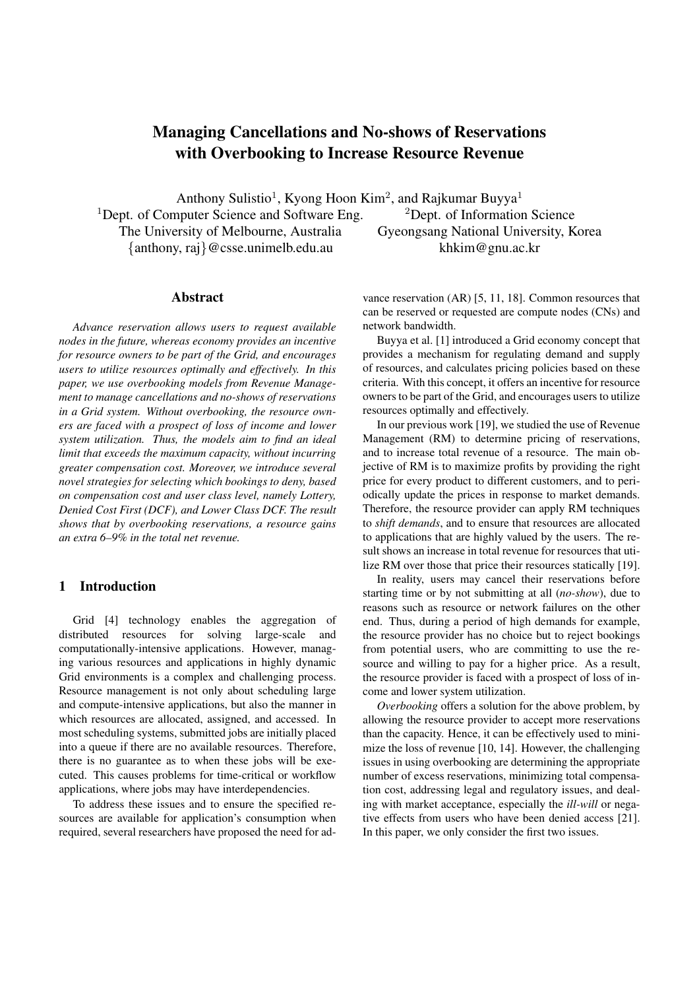# **Managing Cancellations and No-shows of Reservations with Overbooking to Increase Resource Revenue**

Anthony Sulistio<sup>1</sup>, Kyong Hoon Kim<sup>2</sup>, and Rajkumar Buyya<sup>1</sup> <sup>1</sup>Dept. of Computer Science and Software Eng.  $2$ Dept. of Information Science The University of Melbourne, Australia Gyeongsang National University, Korea {anthony, raj}@csse.unimelb.edu.au khkim@gnu.ac.kr

### **Abstract**

*Advance reservation allows users to request available nodes in the future, whereas economy provides an incentive for resource owners to be part of the Grid, and encourages users to utilize resources optimally and effectively. In this paper, we use overbooking models from Revenue Management to manage cancellations and no-shows of reservations in a Grid system. Without overbooking, the resource owners are faced with a prospect of loss of income and lower system utilization. Thus, the models aim to find an ideal limit that exceeds the maximum capacity, without incurring greater compensation cost. Moreover, we introduce several novel strategies for selecting which bookings to deny, based on compensation cost and user class level, namely Lottery, Denied Cost First (DCF), and Lower Class DCF. The result shows that by overbooking reservations, a resource gains an extra 6–9% in the total net revenue.*

## **1 Introduction**

Grid [4] technology enables the aggregation of distributed resources for solving large-scale and computationally-intensive applications. However, managing various resources and applications in highly dynamic Grid environments is a complex and challenging process. Resource management is not only about scheduling large and compute-intensive applications, but also the manner in which resources are allocated, assigned, and accessed. In most scheduling systems, submitted jobs are initially placed into a queue if there are no available resources. Therefore, there is no guarantee as to when these jobs will be executed. This causes problems for time-critical or workflow applications, where jobs may have interdependencies.

To address these issues and to ensure the specified resources are available for application's consumption when required, several researchers have proposed the need for advance reservation (AR) [5, 11, 18]. Common resources that can be reserved or requested are compute nodes (CNs) and network bandwidth.

Buyya et al. [1] introduced a Grid economy concept that provides a mechanism for regulating demand and supply of resources, and calculates pricing policies based on these criteria. With this concept, it offers an incentive for resource owners to be part of the Grid, and encourages users to utilize resources optimally and effectively.

In our previous work [19], we studied the use of Revenue Management (RM) to determine pricing of reservations, and to increase total revenue of a resource. The main objective of RM is to maximize profits by providing the right price for every product to different customers, and to periodically update the prices in response to market demands. Therefore, the resource provider can apply RM techniques to *shift demands*, and to ensure that resources are allocated to applications that are highly valued by the users. The result shows an increase in total revenue for resources that utilize RM over those that price their resources statically [19].

In reality, users may cancel their reservations before starting time or by not submitting at all (*no-show*), due to reasons such as resource or network failures on the other end. Thus, during a period of high demands for example, the resource provider has no choice but to reject bookings from potential users, who are committing to use the resource and willing to pay for a higher price. As a result, the resource provider is faced with a prospect of loss of income and lower system utilization.

*Overbooking* offers a solution for the above problem, by allowing the resource provider to accept more reservations than the capacity. Hence, it can be effectively used to minimize the loss of revenue [10, 14]. However, the challenging issues in using overbooking are determining the appropriate number of excess reservations, minimizing total compensation cost, addressing legal and regulatory issues, and dealing with market acceptance, especially the *ill-will* or negative effects from users who have been denied access [21]. In this paper, we only consider the first two issues.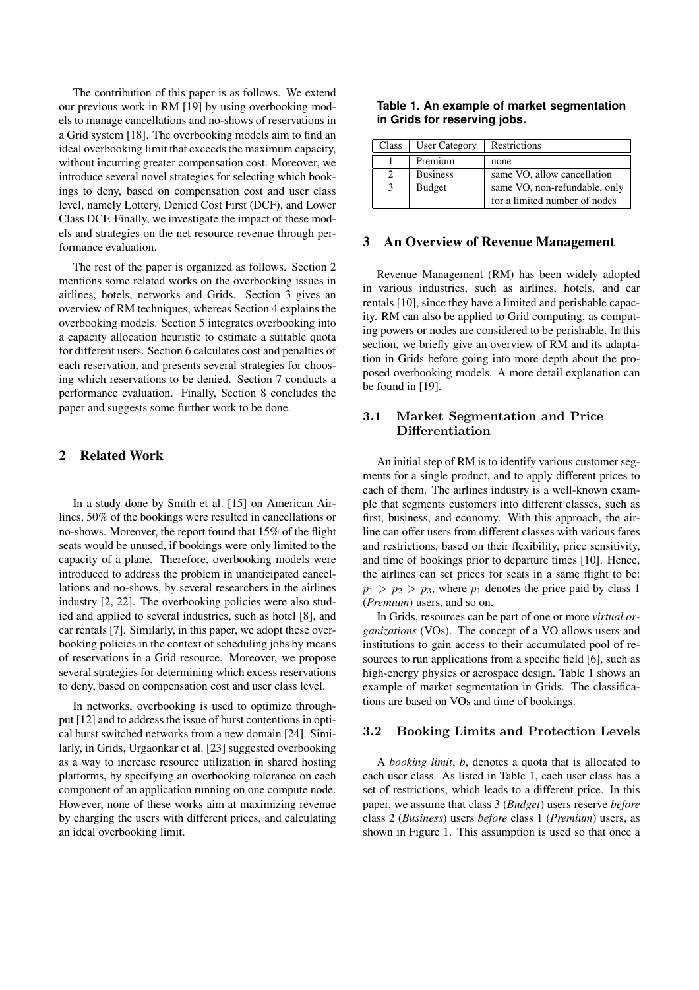The contribution of this paper is as follows. We extend our previous work in RM [19] by using overbooking models to manage cancellations and no-shows of reservations in a Grid system [18]. The overbooking models aim to find an ideal overbooking limit that exceeds the maximum capacity, without incurring greater compensation cost. Moreover, we introduce several novel strategies for selecting which bookings to deny, based on compensation cost and user class level, namely Lottery, Denied Cost First (DCF), and Lower Class DCF. Finally, we investigate the impact of these models and strategies on the net resource revenue through performance evaluation.

The rest of the paper is organized as follows. Section 2 mentions some related works on the overbooking issues in airlines, hotels, networks and Grids. Section 3 gives an overview of RM techniques, whereas Section 4 explains the overbooking models. Section 5 integrates overbooking into a capacity allocation heuristic to estimate a suitable quota for different users. Section 6 calculates cost and penalties of each reservation, and presents several strategies for choosing which reservations to be denied. Section 7 conducts a performance evaluation. Finally, Section 8 concludes the paper and suggests some further work to be done.

# **2 Related Work**

In a study done by Smith et al. [15] on American Airlines, 50% of the bookings were resulted in cancellations or no-shows. Moreover, the report found that 15% of the flight seats would be unused, if bookings were only limited to the capacity of a plane. Therefore, overbooking models were introduced to address the problem in unanticipated cancellations and no-shows, by several researchers in the airlines industry [2, 22]. The overbooking policies were also studied and applied to several industries, such as hotel [8], and car rentals [7]. Similarly, in this paper, we adopt these overbooking policies in the context of scheduling jobs by means of reservations in a Grid resource. Moreover, we propose several strategies for determining which excess reservations to deny, based on compensation cost and user class level.

In networks, overbooking is used to optimize throughput [12] and to address the issue of burst contentions in optical burst switched networks from a new domain [24]. Similarly, in Grids, Urgaonkar et al. [23] suggested overbooking as a way to increase resource utilization in shared hosting platforms, by specifying an overbooking tolerance on each component of an application running on one compute node. However, none of these works aim at maximizing revenue by charging the users with different prices, and calculating an ideal overbooking limit.

|                              | Table 1. An example of market segmentation |
|------------------------------|--------------------------------------------|
| in Grids for reserving jobs. |                                            |

| Class         | <b>User Category</b> | Restrictions                                                   |
|---------------|----------------------|----------------------------------------------------------------|
|               | Premium              | none                                                           |
| $\mathcal{D}$ | <b>Business</b>      | same VO, allow cancellation                                    |
| -3            | <b>Budget</b>        | same VO, non-refundable, only<br>for a limited number of nodes |

## **3 An Overview of Revenue Management**

Revenue Management (RM) has been widely adopted in various industries, such as airlines, hotels, and car rentals [10], since they have a limited and perishable capacity. RM can also be applied to Grid computing, as computing powers or nodes are considered to be perishable. In this section, we briefly give an overview of RM and its adaptation in Grids before going into more depth about the proposed overbooking models. A more detail explanation can be found in [19].

# 3.1 Market Segmentation and Price **Differentiation**

An initial step of RM is to identify various customer segments for a single product, and to apply different prices to each of them. The airlines industry is a well-known example that segments customers into different classes, such as first, business, and economy. With this approach, the airline can offer users from different classes with various fares and restrictions, based on their flexibility, price sensitivity, and time of bookings prior to departure times [10]. Hence, the airlines can set prices for seats in a same flight to be:  $p_1 > p_2 > p_3$ , where  $p_1$  denotes the price paid by class 1 (*Premium*) users, and so on.

In Grids, resources can be part of one or more *virtual organizations* (VOs). The concept of a VO allows users and institutions to gain access to their accumulated pool of resources to run applications from a specific field [6], such as high-energy physics or aerospace design. Table 1 shows an example of market segmentation in Grids. The classifications are based on VOs and time of bookings.

### 3.2 Booking Limits and Protection Levels

A *booking limit*, *b*, denotes a quota that is allocated to each user class. As listed in Table 1, each user class has a set of restrictions, which leads to a different price. In this paper, we assume that class 3 (*Budget*) users reserve *before* class 2 (*Business*) users *before* class 1 (*Premium*) users, as shown in Figure 1. This assumption is used so that once a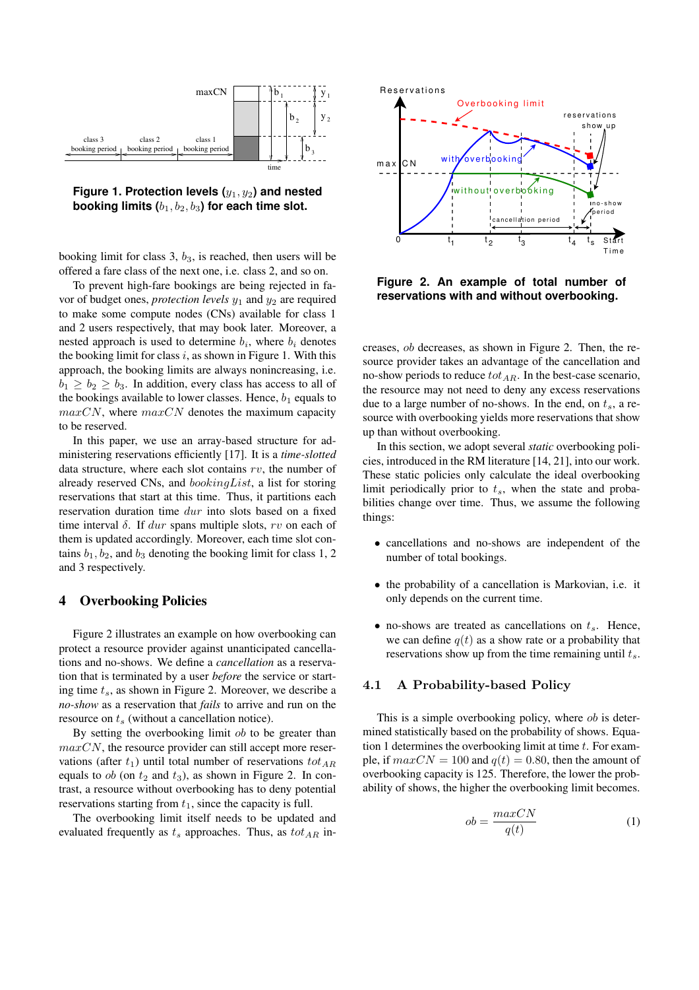



booking limit for class 3,  $b_3$ , is reached, then users will be offered a fare class of the next one, i.e. class 2, and so on.

To prevent high-fare bookings are being rejected in favor of budget ones, *protection* levels  $y_1$  and  $y_2$  are required to make some compute nodes (CNs) available for class 1 and 2 users respectively, that may book later. Moreover, a nested approach is used to determine  $b_i$ , where  $b_i$  denotes the booking limit for class i, as shown in Figure 1. With this approach, the booking limits are always nonincreasing, i.e.  $b_1 \geq b_2 \geq b_3$ . In addition, every class has access to all of the bookings available to lower classes. Hence,  $b_1$  equals to  $maxCN$ , where  $maxCN$  denotes the maximum capacity to be reserved.

In this paper, we use an array-based structure for administering reservations efficiently [17]. It is a *time-slotted* data structure, where each slot contains  $rv$ , the number of already reserved CNs, and bookingList, a list for storing reservations that start at this time. Thus, it partitions each reservation duration time dur into slots based on a fixed time interval  $\delta$ . If dur spans multiple slots, rv on each of them is updated accordingly. Moreover, each time slot contains  $b_1$ ,  $b_2$ , and  $b_3$  denoting the booking limit for class 1, 2 and 3 respectively.

#### **4 Overbooking Policies**

Figure 2 illustrates an example on how overbooking can protect a resource provider against unanticipated cancellations and no-shows. We define a *cancellation* as a reservation that is terminated by a user *before* the service or starting time  $t_s$ , as shown in Figure 2. Moreover, we describe a *no-show* as a reservation that *fails* to arrive and run on the resource on  $t_s$  (without a cancellation notice).

By setting the overbooking limit *ob* to be greater than  $maxCN$ , the resource provider can still accept more reservations (after  $t_1$ ) until total number of reservations  $tot_{AR}$ equals to  $ob$  (on  $t_2$  and  $t_3$ ), as shown in Figure 2. In contrast, a resource without overbooking has to deny potential reservations starting from  $t_1$ , since the capacity is full.

The overbooking limit itself needs to be updated and evaluated frequently as  $t_s$  approaches. Thus, as  $tot_{AR}$  in-



**Figure 2. An example of total number of reservations with and without overbooking.**

creases, ob decreases, as shown in Figure 2. Then, the resource provider takes an advantage of the cancellation and no-show periods to reduce  $tot_{AR}$ . In the best-case scenario, the resource may not need to deny any excess reservations due to a large number of no-shows. In the end, on  $t_s$ , a resource with overbooking yields more reservations that show up than without overbooking.

In this section, we adopt several *static* overbooking policies, introduced in the RM literature [14, 21], into our work. These static policies only calculate the ideal overbooking limit periodically prior to  $t_s$ , when the state and probabilities change over time. Thus, we assume the following things:

- cancellations and no-shows are independent of the number of total bookings.
- the probability of a cancellation is Markovian, i.e. it only depends on the current time.
- no-shows are treated as cancellations on  $t_s$ . Hence, we can define  $q(t)$  as a show rate or a probability that reservations show up from the time remaining until  $t_s$ .

#### 4.1 A Probability-based Policy

This is a simple overbooking policy, where *ob* is determined statistically based on the probability of shows. Equation 1 determines the overbooking limit at time  $t$ . For example, if  $maxCN = 100$  and  $q(t) = 0.80$ , then the amount of overbooking capacity is 125. Therefore, the lower the probability of shows, the higher the overbooking limit becomes.

$$
ob = \frac{maxCN}{q(t)}\tag{1}
$$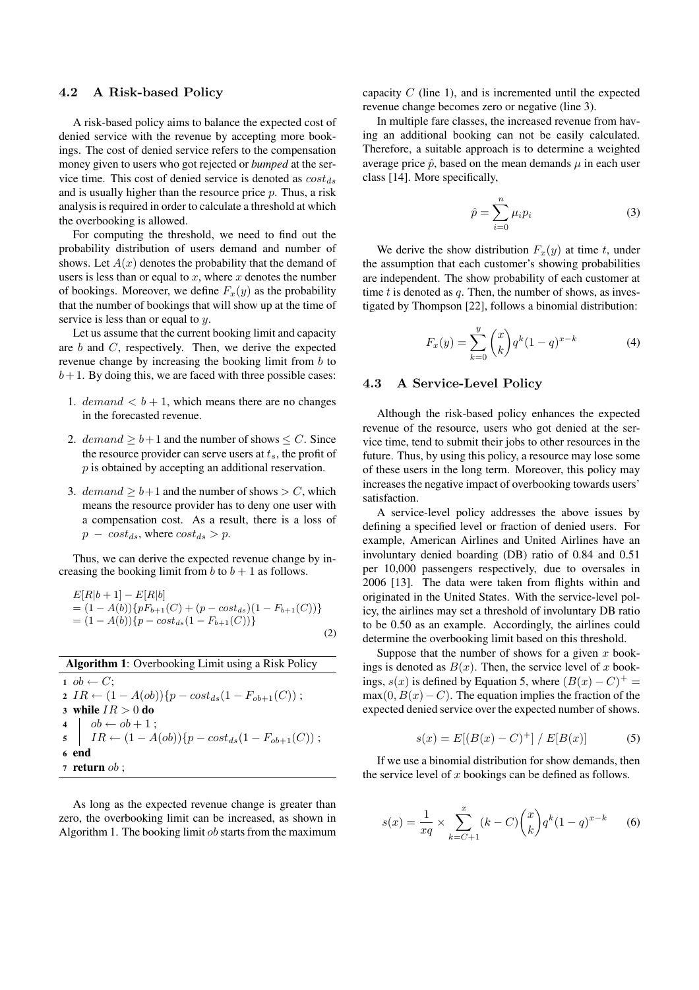#### 4.2 A Risk-based Policy

A risk-based policy aims to balance the expected cost of denied service with the revenue by accepting more bookings. The cost of denied service refers to the compensation money given to users who got rejected or *bumped* at the service time. This cost of denied service is denoted as  $cost_{ds}$ and is usually higher than the resource price  $p$ . Thus, a risk analysis is required in order to calculate a threshold at which the overbooking is allowed.

For computing the threshold, we need to find out the probability distribution of users demand and number of shows. Let  $A(x)$  denotes the probability that the demand of users is less than or equal to  $x$ , where  $x$  denotes the number of bookings. Moreover, we define  $F_x(y)$  as the probability that the number of bookings that will show up at the time of service is less than or equal to  $y$ .

Let us assume that the current booking limit and capacity are b and C, respectively. Then, we derive the expected revenue change by increasing the booking limit from b to  $b+1$ . By doing this, we are faced with three possible cases:

- 1. demand  $\lt b + 1$ , which means there are no changes in the forecasted revenue.
- 2. demand  $\geq b+1$  and the number of shows  $\leq C$ . Since the resource provider can serve users at  $t_s$ , the profit of p is obtained by accepting an additional reservation.
- 3. demand  $> b+1$  and the number of shows  $> C$ , which means the resource provider has to deny one user with a compensation cost. As a result, there is a loss of  $p - cost_{ds}$ , where  $cost_{ds} > p$ .

Thus, we can derive the expected revenue change by increasing the booking limit from  $b$  to  $b + 1$  as follows.

$$
E[R|b+1] - E[R|b] = (1 - A(b))\{pF_{b+1}(C) + (p - cost_{ds})(1 - F_{b+1}(C))\} = (1 - A(b))\{p - cost_{ds}(1 - F_{b+1}(C))\}
$$
\n(2)

| <b>Algorithm 1:</b> Overbooking Limit using a Risk Policy                                                                                                            |  |  |  |  |  |  |
|----------------------------------------------------------------------------------------------------------------------------------------------------------------------|--|--|--|--|--|--|
| $1 \tob \leftarrow C$ :                                                                                                                                              |  |  |  |  |  |  |
| 2 IR $\leftarrow (1 - A(obj))\{p - cost_{ds}(1 - F_{ob+1}(C))\};$                                                                                                    |  |  |  |  |  |  |
| 3 while $IR > 0$ do                                                                                                                                                  |  |  |  |  |  |  |
|                                                                                                                                                                      |  |  |  |  |  |  |
| $\begin{array}{ll} \textbf{4} & \bigg  \quad ob \leftarrow ob + 1 \; ; \\ \textbf{5} & IR \leftarrow (1 - A(obj)) \{p - cost_{ds}(1 - F_{ob+1}(C)) \; ; \end{array}$ |  |  |  |  |  |  |
| 6 end                                                                                                                                                                |  |  |  |  |  |  |
| 7 return $ob$ ;                                                                                                                                                      |  |  |  |  |  |  |

As long as the expected revenue change is greater than zero, the overbooking limit can be increased, as shown in Algorithm 1. The booking limit  $ob$  starts from the maximum capacity  $C$  (line 1), and is incremented until the expected revenue change becomes zero or negative (line 3).

In multiple fare classes, the increased revenue from having an additional booking can not be easily calculated. Therefore, a suitable approach is to determine a weighted average price  $\hat{p}$ , based on the mean demands  $\mu$  in each user class [14]. More specifically,

$$
\hat{p} = \sum_{i=0}^{n} \mu_i p_i \tag{3}
$$

We derive the show distribution  $F_x(y)$  at time t, under the assumption that each customer's showing probabilities are independent. The show probability of each customer at time  $t$  is denoted as  $q$ . Then, the number of shows, as investigated by Thompson [22], follows a binomial distribution:

$$
F_x(y) = \sum_{k=0}^{y} {x \choose k} q^k (1-q)^{x-k}
$$
 (4)

#### 4.3 A Service-Level Policy

Although the risk-based policy enhances the expected revenue of the resource, users who got denied at the service time, tend to submit their jobs to other resources in the future. Thus, by using this policy, a resource may lose some of these users in the long term. Moreover, this policy may increases the negative impact of overbooking towards users' satisfaction.

A service-level policy addresses the above issues by defining a specified level or fraction of denied users. For example, American Airlines and United Airlines have an involuntary denied boarding (DB) ratio of 0.84 and 0.51 per 10,000 passengers respectively, due to oversales in 2006 [13]. The data were taken from flights within and originated in the United States. With the service-level policy, the airlines may set a threshold of involuntary DB ratio to be 0.50 as an example. Accordingly, the airlines could determine the overbooking limit based on this threshold.

Suppose that the number of shows for a given x bookings is denoted as  $B(x)$ . Then, the service level of x bookings,  $s(x)$  is defined by Equation 5, where  $(B(x) - C)^{+} =$  $max(0, B(x)-C)$ . The equation implies the fraction of the expected denied service over the expected number of shows.

$$
s(x) = E[(B(x) - C)^{+}] / E[B(x)] \tag{5}
$$

If we use a binomial distribution for show demands, then the service level of  $x$  bookings can be defined as follows.

$$
s(x) = \frac{1}{xq} \times \sum_{k=C+1}^{x} (k - C) {x \choose k} q^{k} (1 - q)^{x-k}
$$
 (6)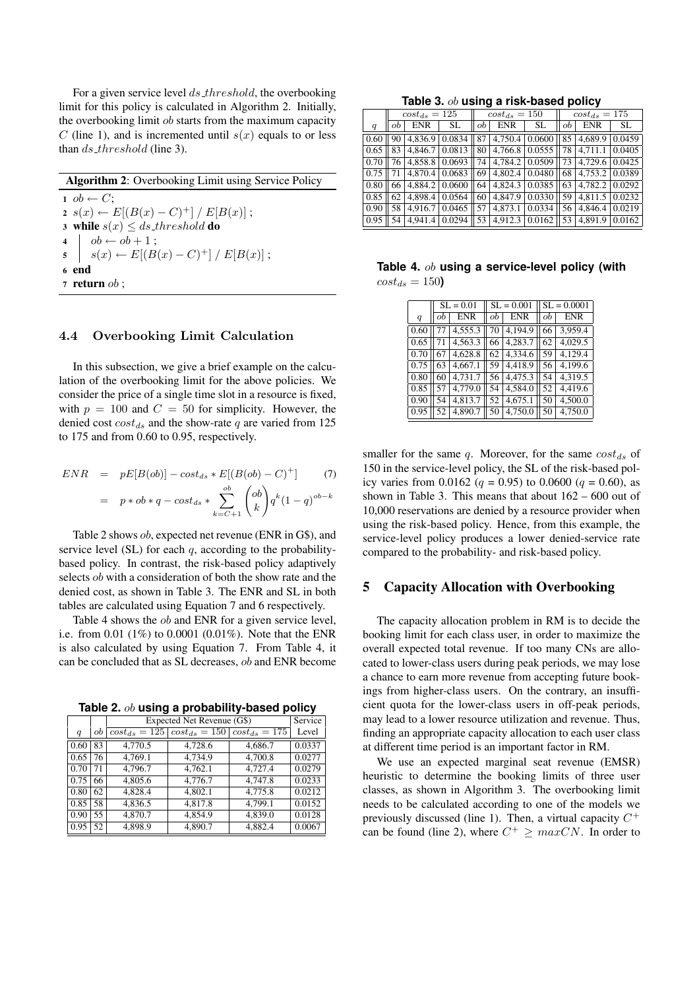For a given service level ds threshold, the overbooking limit for this policy is calculated in Algorithm 2. Initially, the overbooking limit ob starts from the maximum capacity C (line 1), and is incremented until  $s(x)$  equals to or less than ds\_threshold (line 3).

| <b>Algorithm 2:</b> Overbooking Limit using Service Policy                                                              |  |  |  |  |  |  |  |
|-------------------------------------------------------------------------------------------------------------------------|--|--|--|--|--|--|--|
| $1 \tob \leftarrow C$ :                                                                                                 |  |  |  |  |  |  |  |
| $2 s(x) \leftarrow E[(B(x)-C)^+] / E[B(x)]$ ;                                                                           |  |  |  |  |  |  |  |
| 3 while $s(x) \leq ds$ threshold do                                                                                     |  |  |  |  |  |  |  |
|                                                                                                                         |  |  |  |  |  |  |  |
| 4 $\begin{array}{c c} 3 & b \leftarrow ob + 1 \\ \hline 5 & s(x) \leftarrow E[(B(x) - C)^+] / E[B(x)] \; ; \end{array}$ |  |  |  |  |  |  |  |
| 6 end                                                                                                                   |  |  |  |  |  |  |  |
| 7 return $ob$ ;                                                                                                         |  |  |  |  |  |  |  |

#### 4.4 Overbooking Limit Calculation

In this subsection, we give a brief example on the calculation of the overbooking limit for the above policies. We consider the price of a single time slot in a resource is fixed, with  $p = 100$  and  $C = 50$  for simplicity. However, the denied cost  $cost_{ds}$  and the show-rate q are varied from 125 to 175 and from 0.60 to 0.95, respectively.

$$
ENR = pE[B(obj)] - cost_{ds} * E[(B(obj) - C)^+] \tag{7}
$$
  
=  $p * ob * q - cost_{ds} * \sum_{k=C+1}^{ob} {ob \choose k} q^{k} (1-q)^{ob-k}$ 

Table 2 shows ob, expected net revenue (ENR in G\$), and service level  $(SL)$  for each  $q$ , according to the probabilitybased policy. In contrast, the risk-based policy adaptively selects *ob* with a consideration of both the show rate and the denied cost, as shown in Table 3. The ENR and SL in both tables are calculated using Equation 7 and 6 respectively.

Table 4 shows the *ob* and ENR for a given service level, i.e. from 0.01 (1%) to 0.0001 (0.01%). Note that the ENR is also calculated by using Equation 7. From Table 4, it can be concluded that as SL decreases, ob and ENR become

**Table 2.** ob **using a probability-based policy**

|      |    | Expected Net Revenue (G\$) | Service                                          |                   |                     |
|------|----|----------------------------|--------------------------------------------------|-------------------|---------------------|
| q    | ob |                            | $cost_{ds} = 125 \left[ cost_{ds} = 150 \right]$ | $cost_{ds} = 175$ | Level               |
| 0.60 | 83 | 4,770.5                    | 4,728.6                                          | 4,686.7           | 0.0337              |
| 0.65 | 76 | $\overline{4,769.1}$       | 4,734.9                                          | 4,700.8           | 0.0277              |
| 0.70 | 71 | 4,796.7                    | 4,762.1                                          | 4.727.4           | 0.0279              |
| 0.75 | 66 | 4.805.6                    | 4,776.7                                          | 4.747.8           | 0.0233              |
| 0.80 | 62 | 4.828.4                    | 4,802.1                                          | 4,775.8           | 0.0212              |
| 0.85 | 58 | 4,836.5                    | 4.817.8                                          | 4,799.1           | $\overline{0.0152}$ |
| 0.90 | 55 | 4,870.7                    | 4,854.9                                          | 4,839.0           | 0.0128              |
| 0.95 | 52 | 4,898.9                    | 4,890.7                                          | 4,882.4           | 0.0067              |

**Table 3.** ob **using a risk-based policy**

|      | $cost_{ds} = 125$ |                |                  |    | $cost_{ds} = 150$                                     |     |    | $cost_{ds} = 175$ |        |  |
|------|-------------------|----------------|------------------|----|-------------------------------------------------------|-----|----|-------------------|--------|--|
| q    | ob                | <b>ENR</b>     | SL               | ob | ENR                                                   | SL. | оb | ENR               | SL.    |  |
| 0.60 |                   |                | $4,836.9$ 0.0834 |    | 87 4,750.4 0.0600                                     |     |    | 85 4,689.9        | 0.0459 |  |
| 0.65 | 83                |                | 4,846.7 0.0813   |    | 80 4,766.8 0.0555 78 4,711.1                          |     |    |                   | 0.0405 |  |
| 0.70 |                   |                |                  |    | 76 4.858.8 0.0693 74 4.784.2 0.0509 73 4.729.6 0.0425 |     |    |                   |        |  |
| 0.75 |                   | 4,870.4 0.0683 |                  |    | 69 4,802.4 0.0480 68 4,753.2 0.0389                   |     |    |                   |        |  |
| 0.80 |                   |                |                  |    | 66 4,884.2 0.0600 64 4,824.3 0.0385 63 4,782.2 0.0292 |     |    |                   |        |  |
| 0.85 | 62                |                | 4,898.4 0.0564   |    | 60 4,847.9 0.0330 59                                  |     |    | $4.811.5$ 0.0232  |        |  |
| 0.90 | 58 I              |                | 4.916.7 0.0465   |    | 57 4,873.1 0.0334 56 4,846.4 0.0219                   |     |    |                   |        |  |
| 0.95 | 54                |                |                  |    | 4,941.4 0.0294 53 4,912.3 0.0162                      |     | 53 | 4,891.9           | 0.0162 |  |

#### **Table 4.** ob **using a service-level policy (with**  $cost_{ds} = 150$

|   |  |          |  | $SL = 0.01$ $SL = 0.001$ $SL = 0.0001$              |  |                      |  |  |
|---|--|----------|--|-----------------------------------------------------|--|----------------------|--|--|
| q |  | $ob$ ENR |  | $ob$ ENR $ob$                                       |  | ENR                  |  |  |
|   |  |          |  | $0.60$   77   4,555.3   70   4,194.9   66   3,959.4 |  |                      |  |  |
|   |  |          |  | $0.65$   71   4,563.3   66   4,283.7   62           |  | $\overline{4,029.5}$ |  |  |
|   |  |          |  | $0.70$   67   4,628.8   62   4,334.6   59           |  | 4,129.4              |  |  |
|   |  |          |  | $0.75$ 63 4,667.1 59 4,418.9 56                     |  | 4,199.6              |  |  |
|   |  |          |  | $0.80$ 60 4,731.7 56 4,475.3 54                     |  | 4,319.5              |  |  |
|   |  |          |  | $0.85$   57   4,779.0   54   4,584.0   52           |  | 4,419.6              |  |  |
|   |  |          |  | $0.90$ 54 4,813.7 52 4,675.1 50                     |  | 4,500.0              |  |  |
|   |  |          |  | $0.95$   52   4,890.7   50   4,750.0   50           |  | 4,750.0              |  |  |
|   |  |          |  |                                                     |  |                      |  |  |

smaller for the same  $q$ . Moreover, for the same  $cost_{ds}$  of 150 in the service-level policy, the SL of the risk-based policy varies from 0.0162 ( $q = 0.95$ ) to 0.0600 ( $q = 0.60$ ), as shown in Table 3. This means that about 162 – 600 out of 10,000 reservations are denied by a resource provider when using the risk-based policy. Hence, from this example, the service-level policy produces a lower denied-service rate compared to the probability- and risk-based policy.

### **5 Capacity Allocation with Overbooking**

The capacity allocation problem in RM is to decide the booking limit for each class user, in order to maximize the overall expected total revenue. If too many CNs are allocated to lower-class users during peak periods, we may lose a chance to earn more revenue from accepting future bookings from higher-class users. On the contrary, an insufficient quota for the lower-class users in off-peak periods, may lead to a lower resource utilization and revenue. Thus, finding an appropriate capacity allocation to each user class at different time period is an important factor in RM.

We use an expected marginal seat revenue (EMSR) heuristic to determine the booking limits of three user classes, as shown in Algorithm 3. The overbooking limit needs to be calculated according to one of the models we previously discussed (line 1). Then, a virtual capacity  $C^+$ can be found (line 2), where  $C^+ \geq maxCN$ . In order to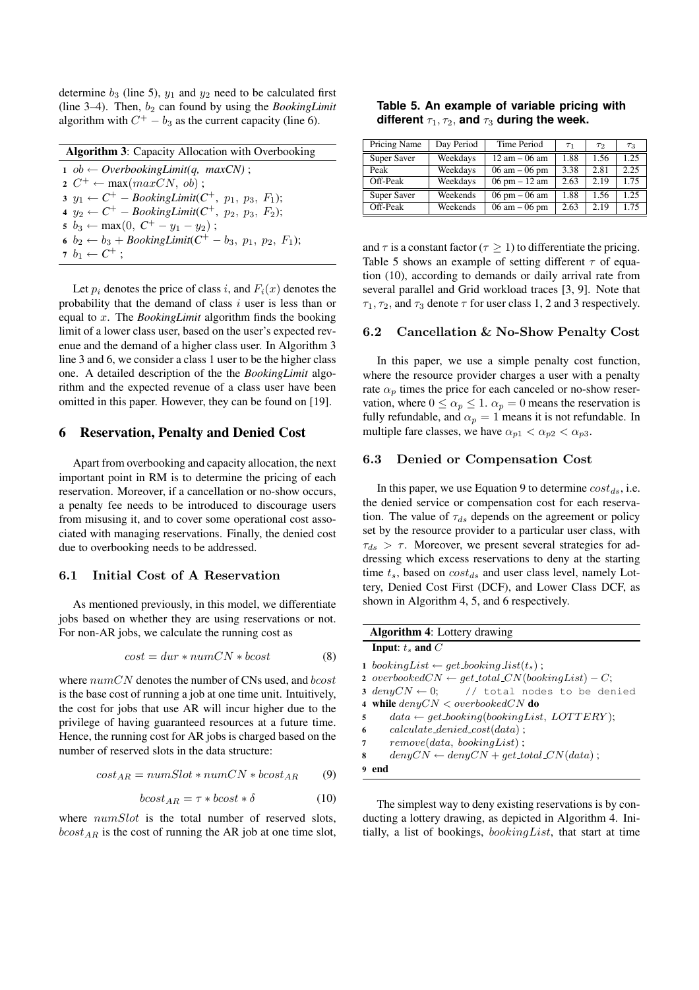determine  $b_3$  (line 5),  $y_1$  and  $y_2$  need to be calculated first (line  $3-4$ ). Then,  $b_2$  can found by using the *BookingLimit* algorithm with  $C^+ - b_3$  as the current capacity (line 6).

| <b>Algorithm 3:</b> Capacity Allocation with Overbooking                |  |  |  |  |  |
|-------------------------------------------------------------------------|--|--|--|--|--|
| $1 \tob \leftarrow OverbookingLimit(q, maxCN);$                         |  |  |  |  |  |
| $2 C^+ \leftarrow max(maxCN, ob);$                                      |  |  |  |  |  |
| 3 $y_1 \leftarrow C^+$ – BookingLimit( $C^+$ , $p_1$ , $p_3$ , $F_1$ ); |  |  |  |  |  |
| 4 $y_2 \leftarrow C^+$ – BookingLimit( $C^+$ , $p_2$ , $p_3$ , $F_2$ ); |  |  |  |  |  |
| 5 $b_3 \leftarrow \max(0, C^+ - y_1 - y_2);$                            |  |  |  |  |  |
| 6 $b_2 \leftarrow b_3 + \text{BookingLimit}(C^+ - b_3, p_1, p_2, F_1);$ |  |  |  |  |  |
| $7\ b_1 \leftarrow C^+$ ;                                               |  |  |  |  |  |

Let  $p_i$  denotes the price of class i, and  $F_i(x)$  denotes the probability that the demand of class  $i$  user is less than or equal to x. The *BookingLimit* algorithm finds the booking limit of a lower class user, based on the user's expected revenue and the demand of a higher class user. In Algorithm 3 line 3 and 6, we consider a class 1 user to be the higher class one. A detailed description of the the *BookingLimit* algorithm and the expected revenue of a class user have been omitted in this paper. However, they can be found on [19].

#### **6 Reservation, Penalty and Denied Cost**

Apart from overbooking and capacity allocation, the next important point in RM is to determine the pricing of each reservation. Moreover, if a cancellation or no-show occurs, a penalty fee needs to be introduced to discourage users from misusing it, and to cover some operational cost associated with managing reservations. Finally, the denied cost due to overbooking needs to be addressed.

#### 6.1 Initial Cost of A Reservation

As mentioned previously, in this model, we differentiate jobs based on whether they are using reservations or not. For non-AR jobs, we calculate the running cost as

$$
cost = dur * numCN * boost
$$
 (8)

where  $numCN$  denotes the number of CNs used, and  $bcost$ is the base cost of running a job at one time unit. Intuitively, the cost for jobs that use AR will incur higher due to the privilege of having guaranteed resources at a future time. Hence, the running cost for AR jobs is charged based on the number of reserved slots in the data structure:

$$
cost_{AR} = numSlot * numCN * bcost_{AR} \qquad (9)
$$

$$
bcost_{AR} = \tau * bcost * \delta \tag{10}
$$

where  $numSlot$  is the total number of reserved slots,  $bcost_{AB}$  is the cost of running the AR job at one time slot,

| Table 5. An example of variable pricing with               |  |  |
|------------------------------------------------------------|--|--|
| different $\tau_1, \tau_2$ , and $\tau_3$ during the week. |  |  |

| Pricing Name | Day Period | Time Period                     | $\tau_1$ | T2   | $\tau_3$ |
|--------------|------------|---------------------------------|----------|------|----------|
| Super Saver  | Weekdays   | $12 \text{ am} - 06 \text{ am}$ | 1.88     | 1.56 | 1.25     |
| Peak         | Weekdays   | $06 \text{ am} - 06 \text{ pm}$ | 3.38     | 2.81 | 2.25     |
| Off-Peak     | Weekdays   | $06 \text{ pm} - 12 \text{ am}$ | 2.63     | 2.19 | 1.75     |
| Super Saver  | Weekends   | $06 \text{ pm} - 06 \text{ am}$ | 1.88     | 1.56 | 1.25     |
| Off-Peak     | Weekends   | $06 \text{ am} - 06 \text{ pm}$ | 2.63     | 2.19 | 1.75     |

and  $\tau$  is a constant factor ( $\tau \geq 1$ ) to differentiate the pricing. Table 5 shows an example of setting different  $\tau$  of equation (10), according to demands or daily arrival rate from several parallel and Grid workload traces [3, 9]. Note that  $\tau_1, \tau_2$ , and  $\tau_3$  denote  $\tau$  for user class 1, 2 and 3 respectively.

## 6.2 Cancellation & No-Show Penalty Cost

In this paper, we use a simple penalty cost function, where the resource provider charges a user with a penalty rate  $\alpha_p$  times the price for each canceled or no-show reservation, where  $0 \le \alpha_p \le 1$ .  $\alpha_p = 0$  means the reservation is fully refundable, and  $\alpha_p = 1$  means it is not refundable. In multiple fare classes, we have  $\alpha_{p1} < \alpha_{p2} < \alpha_{p3}$ .

### 6.3 Denied or Compensation Cost

In this paper, we use Equation 9 to determine  $cost_{ds}$ , i.e. the denied service or compensation cost for each reservation. The value of  $\tau_{ds}$  depends on the agreement or policy set by the resource provider to a particular user class, with  $\tau_{ds} > \tau$ . Moreover, we present several strategies for addressing which excess reservations to deny at the starting time  $t_s$ , based on  $cost_{ds}$  and user class level, namely Lottery, Denied Cost First (DCF), and Lower Class DCF, as shown in Algorithm 4, 5, and 6 respectively.

|   | <b>Algorithm 4:</b> Lottery drawing                            |
|---|----------------------------------------------------------------|
|   | Input: $t_s$ and $C$                                           |
|   | 1 booking List $\leftarrow$ get booking list(t <sub>s</sub> ); |
|   | 2 overbooked $CN \leftarrow$ get total $CN(bookingList) - C;$  |
|   | 3 $denyCN \leftarrow 0;$ // total nodes to be denied           |
|   | 4 while $denuCN < overbookedCN$ do                             |
| 5 | $data \leftarrow get\,booking(bookingList,\,LOTTERY);$         |
| 6 | $calculate\_denied\_cost(data)$ ;                              |
| 7 | $remove(data, \, bookingList)$ ;                               |
| 8 | $denyCN \leftarrow denyCN + get\_total\ CN(data);$             |
|   | 9 end                                                          |

The simplest way to deny existing reservations is by conducting a lottery drawing, as depicted in Algorithm 4. Initially, a list of bookings,  $bookingList$ , that start at time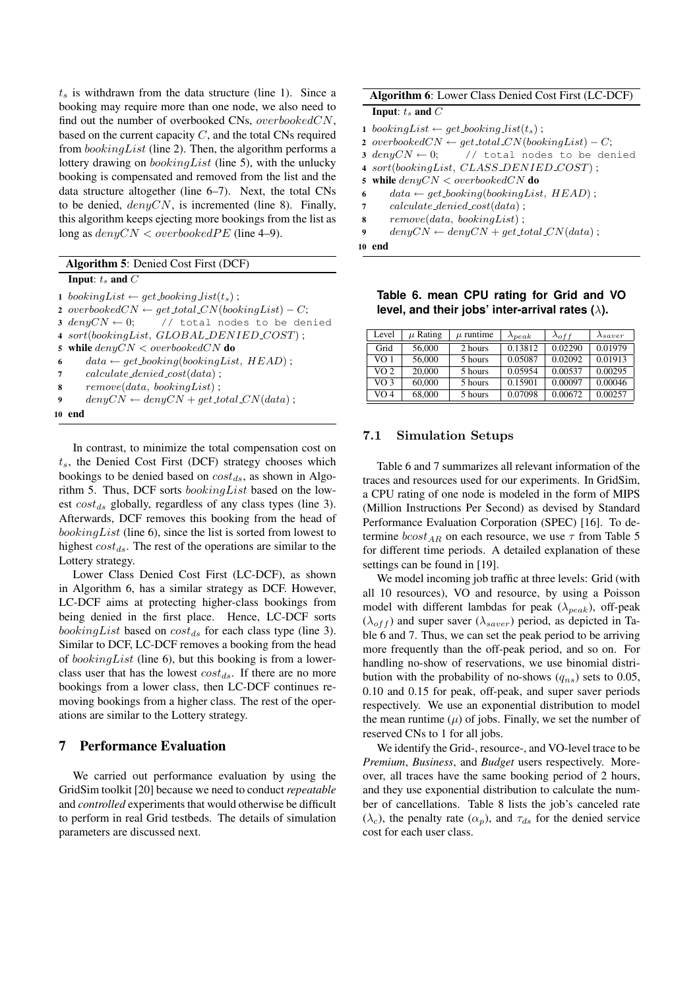$t<sub>s</sub>$  is withdrawn from the data structure (line 1). Since a booking may require more than one node, we also need to find out the number of overbooked CNs, overbookedCN, based on the current capacity  $C$ , and the total CNs required from  $bookingList$  (line 2). Then, the algorithm performs a lottery drawing on bookingList (line 5), with the unlucky booking is compensated and removed from the list and the data structure altogether (line 6–7). Next, the total CNs to be denied,  $denyCN$ , is incremented (line 8). Finally, this algorithm keeps ejecting more bookings from the list as long as  $denyCN < overbookedPE$  (line 4–9).

| Algorithm 5: Denied Cost First (DCF) |  |  |  |
|--------------------------------------|--|--|--|
|--------------------------------------|--|--|--|

**Input**:  $t_s$  **and**  $C$ 

1 bookingList  $\leftarrow$  get booking list(t<sub>s</sub>); 2 overbooked $CN \leftarrow get\_total\_CN(bookingList) - C;$ **3** denyCN  $\leftarrow$  0; // total nodes to be denied **4** sort(bookingList, GLOBAL DENIED COST) ; **5 while** denyCN < overbookedCN **do**  $data \leftarrow get\, boosting(bookingList, HEAD)$ ; **7** calculate denied cost(data) ; **8** remove(data, bookingList) ;  $deny CN \leftarrow deny CN + get\_total CN(data)$ ; **10 end**

In contrast, to minimize the total compensation cost on  $t_s$ , the Denied Cost First (DCF) strategy chooses which bookings to be denied based on  $cost_{ds}$ , as shown in Algorithm 5. Thus, DCF sorts bookingList based on the lowest  $cost_{ds}$  globally, regardless of any class types (line 3). Afterwards, DCF removes this booking from the head of bookingList (line 6), since the list is sorted from lowest to highest  $cost_{ds}$ . The rest of the operations are similar to the Lottery strategy.

Lower Class Denied Cost First (LC-DCF), as shown in Algorithm 6, has a similar strategy as DCF. However, LC-DCF aims at protecting higher-class bookings from being denied in the first place. Hence, LC-DCF sorts *bookingList* based on  $cost_{ds}$  for each class type (line 3). Similar to DCF, LC-DCF removes a booking from the head of *bookingList* (line 6), but this booking is from a lowerclass user that has the lowest  $cost_{ds}$ . If there are no more bookings from a lower class, then LC-DCF continues removing bookings from a higher class. The rest of the operations are similar to the Lottery strategy.

## **7 Performance Evaluation**

We carried out performance evaluation by using the GridSim toolkit [20] because we need to conduct *repeatable* and *controlled* experiments that would otherwise be difficult to perform in real Grid testbeds. The details of simulation parameters are discussed next.

|    | <b>Algorithm 6:</b> Lower Class Denied Cost First (LC-DCF)     |  |  |  |  |  |
|----|----------------------------------------------------------------|--|--|--|--|--|
|    | Input: $t_s$ and $C$                                           |  |  |  |  |  |
|    | 1 booking List $\leftarrow$ get booking list(t <sub>s</sub> ); |  |  |  |  |  |
|    | 2 overbooked $CN \leftarrow get\_total\ CN(bookingList) - C;$  |  |  |  |  |  |
|    | 3 $deny CN \leftarrow 0;$ // total nodes to be denied          |  |  |  |  |  |
|    | $\sim$ sort(bookingList, CLASS_DENIED_COST);                   |  |  |  |  |  |
|    | 5 while $denyCN < overbookedCN$ do                             |  |  |  |  |  |
| 6  | $data \leftarrow get\, boosting(bookingList, HEAD)$ ;          |  |  |  |  |  |
| 7  | $calculate\_denied\_cost(data)$ ;                              |  |  |  |  |  |
| 8  | $remove(data, \, bookingList)$ ;                               |  |  |  |  |  |
| 9  | $deny CN \leftarrow deny CN + get\_total CN(data);$            |  |  |  |  |  |
| 10 | end                                                            |  |  |  |  |  |

**Table 6. mean CPU rating for Grid and VO level, and their jobs' inter-arrival rates (**λ**).**

| Level           | $\mu$ Rating | $\mu$ runtime | $\lambda_{peak}$ | $\lambda_{off}$ | $\lambda_{saver}$ |
|-----------------|--------------|---------------|------------------|-----------------|-------------------|
| Grid            | 56,000       | 2 hours       | 0.13812          | 0.02290         | 0.01979           |
| VO <sub>1</sub> | 56,000       | 5 hours       | 0.05087          | 0.02092         | 0.01913           |
| VO <sub>2</sub> | 20,000       | 5 hours       | 0.05954          | 0.00537         | 0.00295           |
| VO <sub>3</sub> | 60,000       | 5 hours       | 0.15901          | 0.00097         | 0.00046           |
| VO 4            | 68,000       | 5 hours       | 0.07098          | 0.00672         | 0.00257           |

### 7.1 Simulation Setups

Table 6 and 7 summarizes all relevant information of the traces and resources used for our experiments. In GridSim, a CPU rating of one node is modeled in the form of MIPS (Million Instructions Per Second) as devised by Standard Performance Evaluation Corporation (SPEC) [16]. To determine  $bcost_{AR}$  on each resource, we use  $\tau$  from Table 5 for different time periods. A detailed explanation of these settings can be found in [19].

We model incoming job traffic at three levels: Grid (with all 10 resources), VO and resource, by using a Poisson model with different lambdas for peak  $(\lambda_{peak})$ , off-peak  $(\lambda_{off})$  and super saver  $(\lambda_{saver})$  period, as depicted in Table 6 and 7. Thus, we can set the peak period to be arriving more frequently than the off-peak period, and so on. For handling no-show of reservations, we use binomial distribution with the probability of no-shows  $(q_{ns})$  sets to 0.05, 0.10 and 0.15 for peak, off-peak, and super saver periods respectively. We use an exponential distribution to model the mean runtime  $(\mu)$  of jobs. Finally, we set the number of reserved CNs to 1 for all jobs.

We identify the Grid-, resource-, and VO-level trace to be *Premium*, *Business*, and *Budget* users respectively. Moreover, all traces have the same booking period of 2 hours, and they use exponential distribution to calculate the number of cancellations. Table 8 lists the job's canceled rate ( $\lambda_c$ ), the penalty rate ( $\alpha_p$ ), and  $\tau_{ds}$  for the denied service cost for each user class.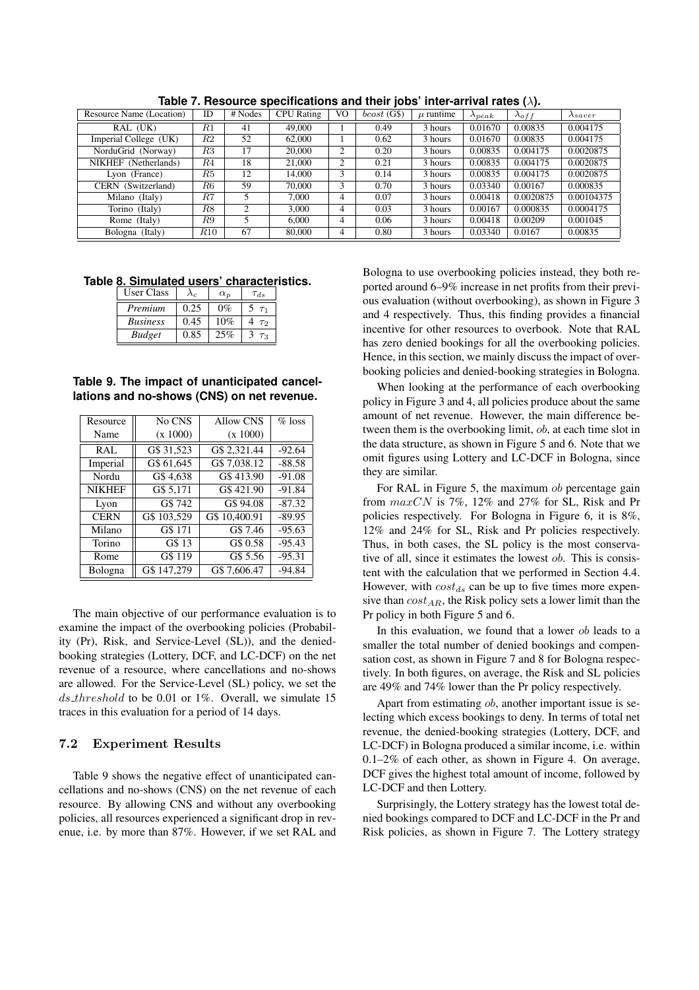| Resource Name (Location) | ID      | # Nodes | <b>CPU</b> Rating | V <sub>O</sub> | bcost(G\$) | $\mu$ runtime | $\lambda_{peak}$ | $\lambda_{off}$ | $\lambda_{saver}$ |
|--------------------------|---------|---------|-------------------|----------------|------------|---------------|------------------|-----------------|-------------------|
| RAL (UK)                 | $_{R1}$ | 41      | 49,000            |                | 0.49       | 3 hours       | 0.01670          | 0.00835         | 0.004175          |
| Imperial College (UK)    | R2      | 52      | 62,000            |                | 0.62       | 3 hours       | 0.01670          | 0.00835         | 0.004175          |
| NorduGrid (Norway)       | R3      | 17      | 20,000            | $\overline{2}$ | 0.20       | 3 hours       | 0.00835          | 0.004175        | 0.0020875         |
| NIKHEF (Netherlands)     | R4      | 18      | 21,000            | 2              | 0.21       | 3 hours       | 0.00835          | 0.004175        | 0.0020875         |
| Lyon (France)            | R5      | 12      | 14,000            | 3              | 0.14       | 3 hours       | 0.00835          | 0.004175        | 0.0020875         |
| CERN (Switzerland)       | R6      | 59      | 70,000            | 3              | 0.70       | 3 hours       | 0.03340          | 0.00167         | 0.000835          |
| Milano (Italy)           | R7      |         | 7.000             | 4              | 0.07       | 3 hours       | 0.00418          | 0.0020875       | 0.00104375        |
| Torino (Italy)           | R8      | 2       | 3.000             | 4              | 0.03       | 3 hours       | 0.00167          | 0.000835        | 0.0004175         |
| Rome (Italy)             | R9      |         | 6.000             | 4              | 0.06       | 3 hours       | 0.00418          | 0.00209         | 0.001045          |
| Bologna (Italy)          | R10     | 67      | 80,000            | 4              | 0.80       | 3 hours       | 0.03340          | 0.0167          | 0.00835           |

**Table 7. Resource specifications and their jobs' inter-arrival rates (**λ**).**

**Table 8. Simulated users' characteristics.**

| User Class      | ላራ   | $\alpha_p$ | $\tau_{ds}$ |
|-----------------|------|------------|-------------|
| Premium         | 0.25 | $0\%$      |             |
| <b>Business</b> | 0.45 | 10%        | T2          |
| <b>Budget</b>   | 0.85 | 25%        | $T_{2}$     |

**Table 9. The impact of unanticipated cancellations and no-shows (CNS) on net revenue.**

| Resource      | No CNS      | Allow CNS     | $%$ loss |
|---------------|-------------|---------------|----------|
| Name          | (x 1000)    | (x 1000)      |          |
| RAL           | G\$ 31,523  | G\$ 2,321.44  | $-92.64$ |
| Imperial      | G\$ 61,645  | G\$ 7,038.12  | $-88.58$ |
| Nordu         | G\$4,638    | G\$413.90     | $-91.08$ |
| <b>NIKHEF</b> | G\$ 5,171   | G\$421.90     | $-91.84$ |
| Lyon          | G\$742      | G\$ 94.08     | $-87.32$ |
| <b>CERN</b>   | G\$ 103,529 | G\$ 10,400.91 | $-89.95$ |
| Milano        | G\$ 171     | G\$ 7.46      | $-95.63$ |
| Torino        | G\$ 13      | G\$ 0.58      | $-95.43$ |
| Rome          | G\$ 119     | G\$ 5.56      | $-95.31$ |
| Bologna       | G\$ 147,279 | G\$ 7,606.47  | $-94.84$ |

The main objective of our performance evaluation is to examine the impact of the overbooking policies (Probability (Pr), Risk, and Service-Level (SL)), and the deniedbooking strategies (Lottery, DCF, and LC-DCF) on the net revenue of a resource, where cancellations and no-shows are allowed. For the Service-Level (SL) policy, we set the ds threshold to be 0.01 or 1%. Overall, we simulate 15 traces in this evaluation for a period of 14 days.

## 7.2 Experiment Results

Table 9 shows the negative effect of unanticipated cancellations and no-shows (CNS) on the net revenue of each resource. By allowing CNS and without any overbooking policies, all resources experienced a significant drop in revenue, i.e. by more than 87%. However, if we set RAL and Bologna to use overbooking policies instead, they both reported around 6–9% increase in net profits from their previous evaluation (without overbooking), as shown in Figure 3 and 4 respectively. Thus, this finding provides a financial incentive for other resources to overbook. Note that RAL has zero denied bookings for all the overbooking policies. Hence, in this section, we mainly discuss the impact of overbooking policies and denied-booking strategies in Bologna.

When looking at the performance of each overbooking policy in Figure 3 and 4, all policies produce about the same amount of net revenue. However, the main difference between them is the overbooking limit, ob, at each time slot in the data structure, as shown in Figure 5 and 6. Note that we omit figures using Lottery and LC-DCF in Bologna, since they are similar.

For RAL in Figure 5, the maximum *ob* percentage gain from  $maxCN$  is 7%, 12% and 27% for SL, Risk and Pr policies respectively. For Bologna in Figure 6, it is 8%, 12% and 24% for SL, Risk and Pr policies respectively. Thus, in both cases, the SL policy is the most conservative of all, since it estimates the lowest ob. This is consistent with the calculation that we performed in Section 4.4. However, with  $cost_{ds}$  can be up to five times more expensive than  $cost_{AR}$ , the Risk policy sets a lower limit than the Pr policy in both Figure 5 and 6.

In this evaluation, we found that a lower ob leads to a smaller the total number of denied bookings and compensation cost, as shown in Figure 7 and 8 for Bologna respectively. In both figures, on average, the Risk and SL policies are 49% and 74% lower than the Pr policy respectively.

Apart from estimating ob, another important issue is selecting which excess bookings to deny. In terms of total net revenue, the denied-booking strategies (Lottery, DCF, and LC-DCF) in Bologna produced a similar income, i.e. within 0.1–2% of each other, as shown in Figure 4. On average, DCF gives the highest total amount of income, followed by LC-DCF and then Lottery.

Surprisingly, the Lottery strategy has the lowest total denied bookings compared to DCF and LC-DCF in the Pr and Risk policies, as shown in Figure 7. The Lottery strategy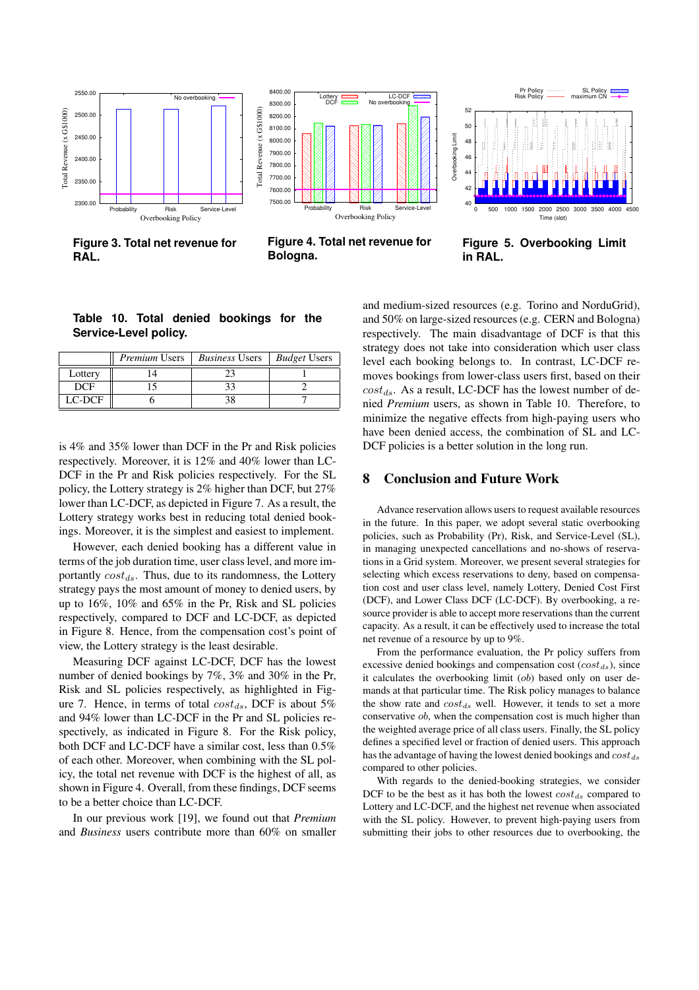

**Figure 3. Total net revenue for RAL.**



**Figure 4. Total net revenue for Bologna.**



**Figure 5. Overbooking Limit in RAL.**

## **Table 10. Total denied bookings for the Service-Level policy.**

|            | <i>Premium</i> Users | <b>Business Users</b> | <i>Budget</i> Users |
|------------|----------------------|-----------------------|---------------------|
| Lottery    |                      |                       |                     |
| <b>DCF</b> |                      |                       |                     |
| $LC-DCF$   |                      |                       |                     |

is 4% and 35% lower than DCF in the Pr and Risk policies respectively. Moreover, it is 12% and 40% lower than LC-DCF in the Pr and Risk policies respectively. For the SL policy, the Lottery strategy is 2% higher than DCF, but 27% lower than LC-DCF, as depicted in Figure 7. As a result, the Lottery strategy works best in reducing total denied bookings. Moreover, it is the simplest and easiest to implement.

However, each denied booking has a different value in terms of the job duration time, user class level, and more importantly  $cost_{ds}$ . Thus, due to its randomness, the Lottery strategy pays the most amount of money to denied users, by up to 16%, 10% and 65% in the Pr, Risk and SL policies respectively, compared to DCF and LC-DCF, as depicted in Figure 8. Hence, from the compensation cost's point of view, the Lottery strategy is the least desirable.

Measuring DCF against LC-DCF, DCF has the lowest number of denied bookings by 7%, 3% and 30% in the Pr, Risk and SL policies respectively, as highlighted in Figure 7. Hence, in terms of total  $cost_{ds}$ , DCF is about 5% and 94% lower than LC-DCF in the Pr and SL policies respectively, as indicated in Figure 8. For the Risk policy, both DCF and LC-DCF have a similar cost, less than 0.5% of each other. Moreover, when combining with the SL policy, the total net revenue with DCF is the highest of all, as shown in Figure 4. Overall, from these findings, DCF seems to be a better choice than LC-DCF.

In our previous work [19], we found out that *Premium* and *Business* users contribute more than 60% on smaller and medium-sized resources (e.g. Torino and NorduGrid), and 50% on large-sized resources (e.g. CERN and Bologna) respectively. The main disadvantage of DCF is that this strategy does not take into consideration which user class level each booking belongs to. In contrast, LC-DCF removes bookings from lower-class users first, based on their  $cost_{ds}$ . As a result, LC-DCF has the lowest number of denied *Premium* users, as shown in Table 10. Therefore, to minimize the negative effects from high-paying users who have been denied access, the combination of SL and LC-DCF policies is a better solution in the long run.

## **8 Conclusion and Future Work**

Advance reservation allows users to request available resources in the future. In this paper, we adopt several static overbooking policies, such as Probability (Pr), Risk, and Service-Level (SL), in managing unexpected cancellations and no-shows of reservations in a Grid system. Moreover, we present several strategies for selecting which excess reservations to deny, based on compensation cost and user class level, namely Lottery, Denied Cost First (DCF), and Lower Class DCF (LC-DCF). By overbooking, a resource provider is able to accept more reservations than the current capacity. As a result, it can be effectively used to increase the total net revenue of a resource by up to 9%.

From the performance evaluation, the Pr policy suffers from excessive denied bookings and compensation cost  $(cost_{ds})$ , since it calculates the overbooking limit (ob) based only on user demands at that particular time. The Risk policy manages to balance the show rate and  $cost_{ds}$  well. However, it tends to set a more conservative ob, when the compensation cost is much higher than the weighted average price of all class users. Finally, the SL policy defines a specified level or fraction of denied users. This approach has the advantage of having the lowest denied bookings and  $cost_{ds}$ compared to other policies.

With regards to the denied-booking strategies, we consider DCF to be the best as it has both the lowest  $cost_{ds}$  compared to Lottery and LC-DCF, and the highest net revenue when associated with the SL policy. However, to prevent high-paying users from submitting their jobs to other resources due to overbooking, the